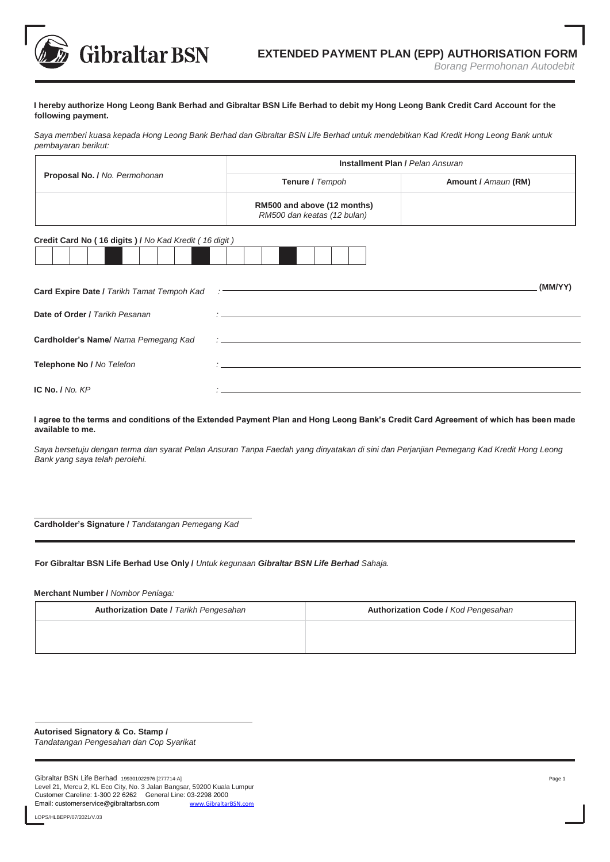**Gibraltar BSN** 

## **I hereby authorize Hong Leong Bank Berhad and Gibraltar BSN Life Berhad to debit my Hong Leong Bank Credit Card Account for the following payment.**

*Saya memberi kuasa kepada Hong Leong Bank Berhad dan Gibraltar BSN Life Berhad untuk mendebitkan Kad Kredit Hong Leong Bank untuk pembayaran berikut:*

|                                                       | <b>Installment Plan / Pelan Ansuran</b>                    |                     |
|-------------------------------------------------------|------------------------------------------------------------|---------------------|
| Proposal No. / No. Permohonan                         | Tenure / Tempoh                                            | Amount / Amaun (RM) |
|                                                       | RM500 and above (12 months)<br>RM500 dan keatas (12 bulan) |                     |
| Credit Card No (16 digits) / No Kad Kredit (16 digit) |                                                            |                     |
| Card Expire Date / Tarikh Tamat Tempoh Kad            |                                                            | (MM/YY)             |
| Date of Order / Tarikh Pesanan                        |                                                            |                     |
| Cardholder's Name/ Nama Pemegang Kad                  |                                                            |                     |
| Telephone No / No Telefon                             |                                                            |                     |
| IC No. $/$ No. $KP$                                   |                                                            |                     |

**I agree to the terms and conditions of the Extended Payment Plan and Hong Leong Bank's Credit Card Agreement of which has been made available to me.**

*Saya bersetuju dengan terma dan syarat Pelan Ansuran Tanpa Faedah yang dinyatakan di sini dan Perjanjian Pemegang Kad Kredit Hong Leong Bank yang saya telah perolehi.*

**Cardholder's Signature /** *Tandatangan Pemegang Kad*

**For Gibraltar BSN Life Berhad Use Only /** *Untuk kegunaan Gibraltar BSN Life Berhad Sahaja.*

**Merchant Number /** *Nombor Peniaga:* 

| <b>Authorization Date / Tarikh Pengesahan</b> | Authorization Code / Kod Pengesahan |
|-----------------------------------------------|-------------------------------------|
|                                               |                                     |
|                                               |                                     |

**Autorised Signatory & Co. Stamp /**  *Tandatangan Pengesahan dan Cop Syarikat*